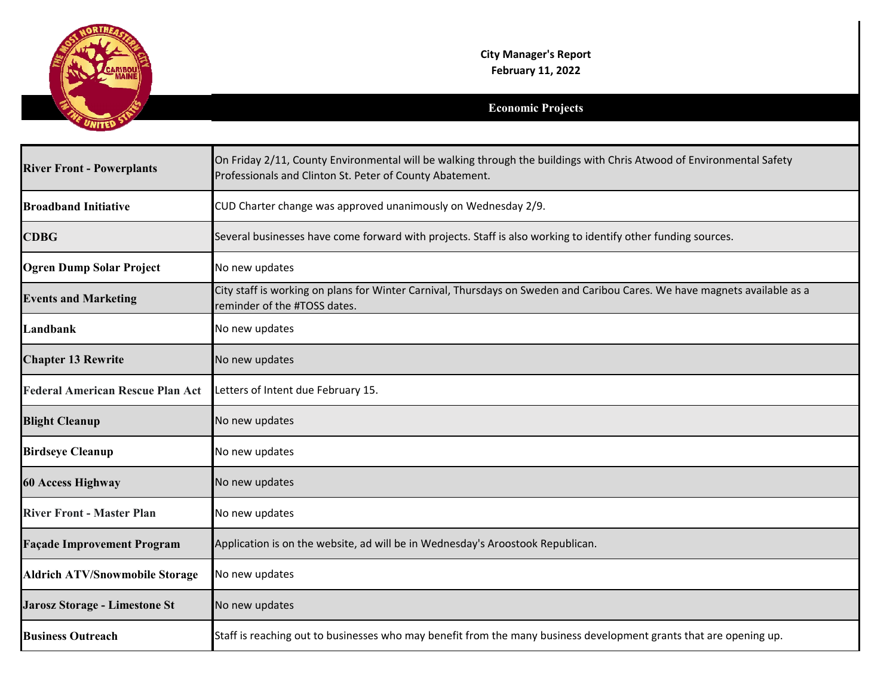

## **Economic Projects**

| <b>River Front - Powerplants</b>        | On Friday 2/11, County Environmental will be walking through the buildings with Chris Atwood of Environmental Safety<br>Professionals and Clinton St. Peter of County Abatement. |
|-----------------------------------------|----------------------------------------------------------------------------------------------------------------------------------------------------------------------------------|
| <b>Broadband Initiative</b>             | CUD Charter change was approved unanimously on Wednesday 2/9.                                                                                                                    |
| <b>CDBG</b>                             | Several businesses have come forward with projects. Staff is also working to identify other funding sources.                                                                     |
| <b>Ogren Dump Solar Project</b>         | No new updates                                                                                                                                                                   |
| <b>Events and Marketing</b>             | City staff is working on plans for Winter Carnival, Thursdays on Sweden and Caribou Cares. We have magnets available as a<br>reminder of the #TOSS dates.                        |
| Landbank                                | No new updates                                                                                                                                                                   |
| <b>Chapter 13 Rewrite</b>               | No new updates                                                                                                                                                                   |
| <b>Federal American Rescue Plan Act</b> | Letters of Intent due February 15.                                                                                                                                               |
| <b>Blight Cleanup</b>                   | No new updates                                                                                                                                                                   |
| <b>Birdseye Cleanup</b>                 | No new updates                                                                                                                                                                   |
| <b>60 Access Highway</b>                | No new updates                                                                                                                                                                   |
| <b>River Front - Master Plan</b>        | No new updates                                                                                                                                                                   |
| <b>Façade Improvement Program</b>       | Application is on the website, ad will be in Wednesday's Aroostook Republican.                                                                                                   |
| <b>Aldrich ATV/Snowmobile Storage</b>   | No new updates                                                                                                                                                                   |
| Jarosz Storage - Limestone St           | No new updates                                                                                                                                                                   |
| <b>Business Outreach</b>                | Staff is reaching out to businesses who may benefit from the many business development grants that are opening up.                                                               |